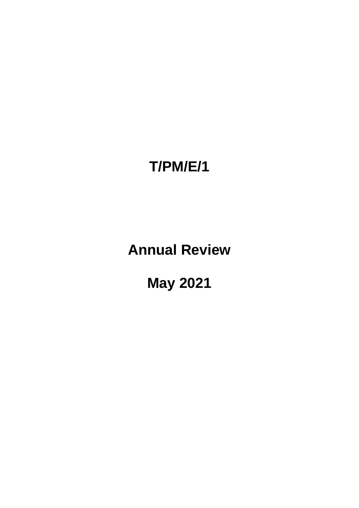# **T/PM/E/1**

**Annual Review**

**May 2021**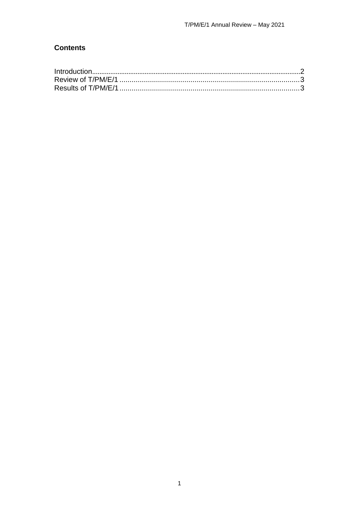# **Contents**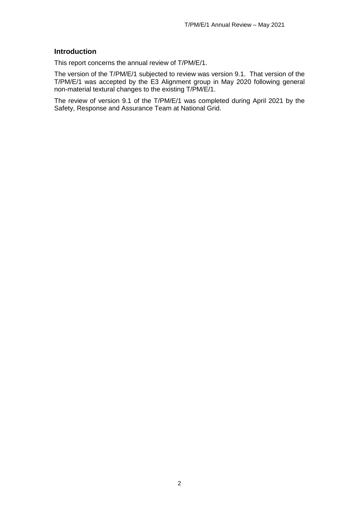#### <span id="page-2-0"></span>**Introduction**

This report concerns the annual review of T/PM/E/1.

The version of the T/PM/E/1 subjected to review was version 9.1. That version of the T/PM/E/1 was accepted by the E3 Alignment group in May 2020 following general non-material textural changes to the existing T/PM/E/1.

The review of version 9.1 of the T/PM/E/1 was completed during April 2021 by the Safety, Response and Assurance Team at National Grid.